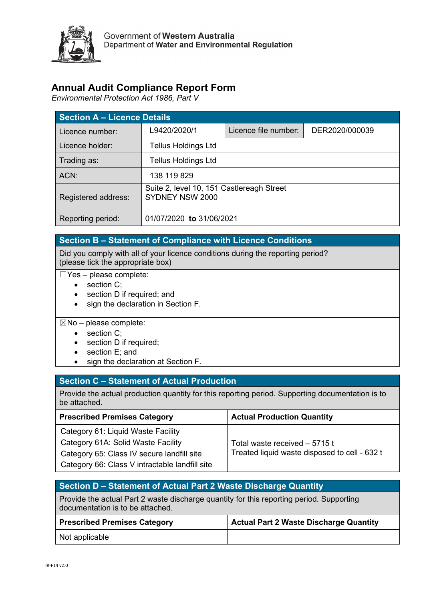

## **Annual Audit Compliance Report Form**

*Environmental Protection Act 1986, Part V*

| <b>Section A - Licence Details</b> |                                                              |                      |                |  |  |  |
|------------------------------------|--------------------------------------------------------------|----------------------|----------------|--|--|--|
| Licence number:                    | L9420/2020/1                                                 | Licence file number: | DER2020/000039 |  |  |  |
| Licence holder:                    | Tellus Holdings Ltd                                          |                      |                |  |  |  |
| Trading as:                        | Tellus Holdings Ltd                                          |                      |                |  |  |  |
| ACN:                               | 138 119 829                                                  |                      |                |  |  |  |
| Registered address:                | Suite 2, level 10, 151 Castlereagh Street<br>SYDNEY NSW 2000 |                      |                |  |  |  |
| Reporting period:                  | 01/07/2020 to 31/06/2021                                     |                      |                |  |  |  |

### **Section B – Statement of Compliance with Licence Conditions**

Did you comply with all of your licence conditions during the reporting period? (please tick the appropriate box)

- ☐Yes please complete:
	- section C;
	- section D if required; and
	- sign the declaration in Section F.

#### $\boxtimes$ No – please complete:

- section C:
- section D if required;
- section E; and
- sign the declaration at Section F.

#### **Section C – Statement of Actual Production**

Provide the actual production quantity for this reporting period. Supporting documentation is to be attached.

| <b>Prescribed Premises Category</b>            | <b>Actual Production Quantity</b>             |
|------------------------------------------------|-----------------------------------------------|
| Category 61: Liquid Waste Facility             |                                               |
| Category 61A: Solid Waste Facility             | Total waste received - 5715 t                 |
| Category 65: Class IV secure landfill site     | Treated liquid waste disposed to cell - 632 t |
| Category 66: Class V intractable landfill site |                                               |

| Section D – Statement of Actual Part 2 Waste Discharge Quantity                          |
|------------------------------------------------------------------------------------------|
| Provide the actual Part 2 waste discharge quantity for this reporting period. Supporting |
| documentation is to be attached.                                                         |

| <b>Prescribed Premises Category</b> | Actual Part 2 Waste Discharge Quantity |
|-------------------------------------|----------------------------------------|
| Not applicable                      |                                        |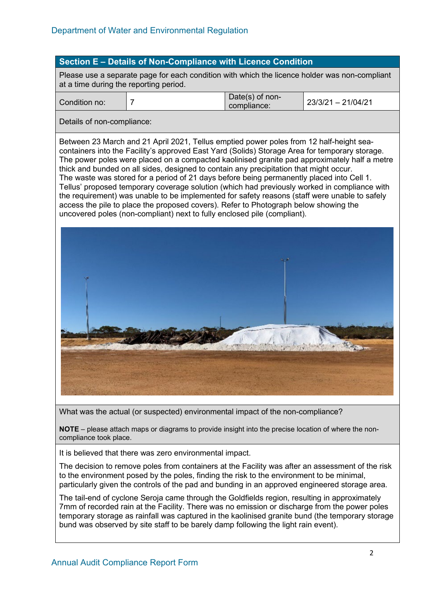#### **Section E – Details of Non-Compliance with Licence Condition**

Please use a separate page for each condition with which the licence holder was non-compliant at a time during the reporting period.

| Condition no: | Date(s) of non-<br>compliance: | 23/3/21 - 21/04/21 |
|---------------|--------------------------------|--------------------|
|               |                                |                    |

Details of non-compliance:

Between 23 March and 21 April 2021, Tellus emptied power poles from 12 half-height seacontainers into the Facility's approved East Yard (Solids) Storage Area for temporary storage. The power poles were placed on a compacted kaolinised granite pad approximately half a metre thick and bunded on all sides, designed to contain any precipitation that might occur. The waste was stored for a period of 21 days before being permanently placed into Cell 1. Tellus' proposed temporary coverage solution (which had previously worked in compliance with the requirement) was unable to be implemented for safety reasons (staff were unable to safely access the pile to place the proposed covers). Refer to Photograph below showing the uncovered poles (non-compliant) next to fully enclosed pile (compliant).



What was the actual (or suspected) environmental impact of the non-compliance?

**NOTE** – please attach maps or diagrams to provide insight into the precise location of where the noncompliance took place.

It is believed that there was zero environmental impact.

The decision to remove poles from containers at the Facility was after an assessment of the risk to the environment posed by the poles, finding the risk to the environment to be minimal, particularly given the controls of the pad and bunding in an approved engineered storage area.

The tail-end of cyclone Seroja came through the Goldfields region, resulting in approximately 7mm of recorded rain at the Facility. There was no emission or discharge from the power poles temporary storage as rainfall was captured in the kaolinised granite bund (the temporary storage bund was observed by site staff to be barely damp following the light rain event).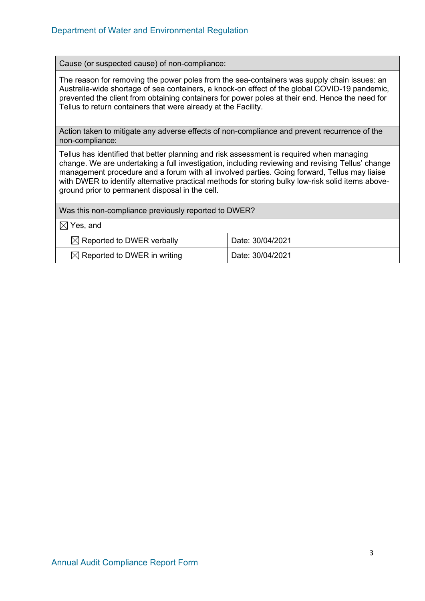Cause (or suspected cause) of non-compliance:

The reason for removing the power poles from the sea-containers was supply chain issues: an Australia-wide shortage of sea containers, a knock-on effect of the global COVID-19 pandemic, prevented the client from obtaining containers for power poles at their end. Hence the need for Tellus to return containers that were already at the Facility.

Action taken to mitigate any adverse effects of non-compliance and prevent recurrence of the non-compliance:

Tellus has identified that better planning and risk assessment is required when managing change. We are undertaking a full investigation, including reviewing and revising Tellus' change management procedure and a forum with all involved parties. Going forward, Tellus may liaise with DWER to identify alternative practical methods for storing bulky low-risk solid items aboveground prior to permanent disposal in the cell.

| Was this non-compliance previously reported to DWER?        |                  |  |  |  |
|-------------------------------------------------------------|------------------|--|--|--|
| $\boxtimes$ Yes, and                                        |                  |  |  |  |
| $\boxtimes$ Reported to DWER verbally                       | Date: 30/04/2021 |  |  |  |
| $\boxtimes$ Reported to DWER in writing<br>Date: 30/04/2021 |                  |  |  |  |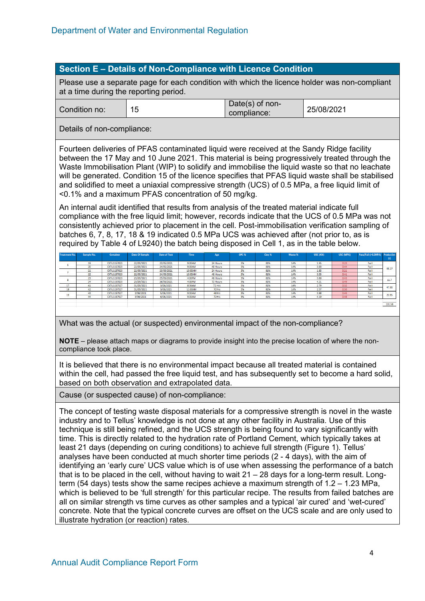#### **Section E – Details of Non-Compliance with Licence Condition**

Please use a separate page for each condition with which the licence holder was non-compliant at a time during the reporting period.

| ັ<br>compliance: | Condition no: |  | Date(s) of non- | 25/08/2021 |
|------------------|---------------|--|-----------------|------------|
|------------------|---------------|--|-----------------|------------|

Details of non-compliance:

Fourteen deliveries of PFAS contaminated liquid were received at the Sandy Ridge facility between the 17 May and 10 June 2021. This material is being progressively treated through the Waste Immobilisation Plant (WIP) to solidify and immobilise the liquid waste so that no leachate will be generated. Condition 15 of the licence specifies that PFAS liquid waste shall be stabilised and solidified to meet a uniaxial compressive strength (UCS) of 0.5 MPa, a free liquid limit of <0.1% and a maximum PFAS concentration of 50 mg/kg.

An internal audit identified that results from analysis of the treated material indicate full compliance with the free liquid limit; however, records indicate that the UCS of 0.5 MPa was not consistently achieved prior to placement in the cell. Post-immobilisation verification sampling of batches 6, 7, 8, 17, 18 & 19 indicated 0.5 MPa UCS was achieved after (not prior to, as is required by Table 4 of L9240) the batch being disposed in Cell 1, as in the table below.

| <b>Treatment No.</b> | Sample No. | Container   | Date Of Sample | <b>Date of Test</b> | Time    | Age      | OPC <sub>%</sub> | Clay % | Waste % | USC (KN) | USC (MPA) | Pass/Fail (>0.5MPA) Production |                |
|----------------------|------------|-------------|----------------|---------------------|---------|----------|------------------|--------|---------|----------|-----------|--------------------------------|----------------|
|                      |            |             |                |                     |         |          |                  |        |         |          |           |                                |                |
|                      | 19         | CXTU1157023 | 22/05/2021     | 23/05/2021          | 9:00AM  | 24 Hours | 5%               | 81%    | 14%     | 1.95     | 0.23      | Fail                           |                |
|                      | 20         | CXTU1157023 | 22/05/2021     | 24/05/2021          | 9:00AM  | 48 Hours | 5%               | 81%    | 14%     | 3.83     | 0.44      | Fail                           | 48.27          |
|                      | 21         | CXTU1157023 | 22/05/2021     | 23/05/2021          | 10:05AM | 24 Hours | 5%               | 81%    | 14%     | 1.85     | 0.21      | Fail                           |                |
|                      | 22         | CXTU1157023 | 22/05/2021     | 24/05/2021          | 10:05AM | 48 Hours | 5%               | 81%    | 14%     | 3.55     | 0.41      | Fail                           |                |
|                      | 23         | CXTU1157023 | 23/05/2021     | 25/05/2021          | 4:00PM  | 48 Hours | 5%               | 81%    | 14%     | 3.80     | 0.43      | Fail                           | 11.7           |
|                      | 24         | CXTU1157023 | 23/05/2021     | 26/05/2021          | 4:00PM  | 72 Hours | 5%               | 81%    | 14%     | 4.21     | 0.49      | Fail                           |                |
| 17                   | 41         | CXTU1157527 | 31/05/2021     | 3/06/2021           | 8:36AM  | 72 Hrs   | 5%               | 81%    | 14%     | 2.79     | 0.32      | Fail                           | 47.66          |
| 18                   | 42         | CXTU1157527 | 31/05/2021     | 3/06/2021           | 11:00AM | 72Hrs    | 5%               | 81%    | 14%     | 2.57     | 0.30      | Fail                           |                |
| 19                   | 43         | CXTU1157527 | 3/06/2021      | 5/06/2021           | 9:00AM  | 48Hrs    | 5%               | 81%    | 14%     | 3.88     | 0.45      | Fail                           | 23.95          |
|                      | 44         | CXTU1157527 | 3/06/2021      | 6/06/2021           | 9:00AM  | 72Hrs    | 5%               | 81%    | 14%     | 4.19     | 0.48      | Fail                           |                |
|                      |            |             |                |                     |         |          |                  |        |         |          |           |                                |                |
|                      |            |             |                |                     |         |          |                  |        |         |          |           |                                | 131.58<br>____ |
|                      |            |             |                |                     |         |          |                  |        |         |          |           |                                |                |

What was the actual (or suspected) environmental impact of the non-compliance?

**NOTE** – please attach maps or diagrams to provide insight into the precise location of where the noncompliance took place.

It is believed that there is no environmental impact because all treated material is contained within the cell, had passed the free liquid test, and has subsequently set to become a hard solid, based on both observation and extrapolated data.

Cause (or suspected cause) of non-compliance:

The concept of testing waste disposal materials for a compressive strength is novel in the waste industry and to Tellus' knowledge is not done at any other facility in Australia. Use of this technique is still being refined, and the UCS strength is being found to vary significantly with time. This is directly related to the hydration rate of Portland Cement, which typically takes at least 21 days (depending on curing conditions) to achieve full strength (Figure 1). Tellus' analyses have been conducted at much shorter time periods (2 - 4 days), with the aim of identifying an 'early cure' UCS value which is of use when assessing the performance of a batch that is to be placed in the cell, without having to wait  $21 - 28$  days for a long-term result. Longterm (54 days) tests show the same recipes achieve a maximum strength of 1.2 – 1.23 MPa, which is believed to be 'full strength' for this particular recipe. The results from failed batches are all on similar strength vs time curves as other samples and a typical 'air cured' and 'wet-cured' concrete. Note that the typical concrete curves are offset on the UCS scale and are only used to illustrate hydration (or reaction) rates.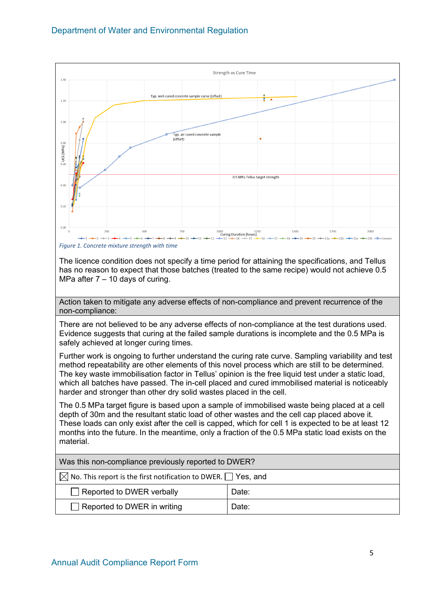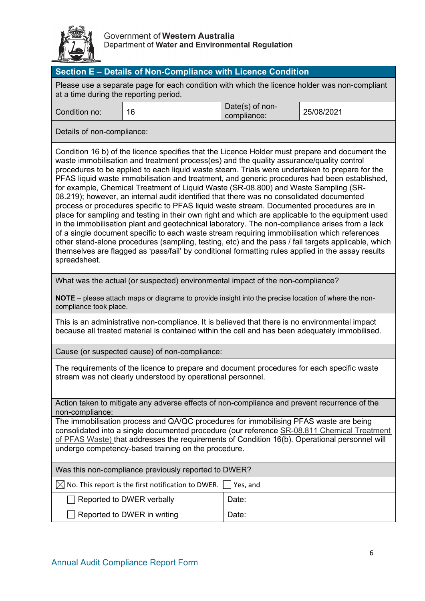

| Section E - Details of Non-Compliance with Licence Condition                                                                                                                                                                                                                                                                                                                                                                                                                                                                                                                                                                                                                                                                                                                                                                                                                                                                                                                                                                                                                                                                                                                                                   |                                                                                                                                                                                                  |                                |            |  |  |  |
|----------------------------------------------------------------------------------------------------------------------------------------------------------------------------------------------------------------------------------------------------------------------------------------------------------------------------------------------------------------------------------------------------------------------------------------------------------------------------------------------------------------------------------------------------------------------------------------------------------------------------------------------------------------------------------------------------------------------------------------------------------------------------------------------------------------------------------------------------------------------------------------------------------------------------------------------------------------------------------------------------------------------------------------------------------------------------------------------------------------------------------------------------------------------------------------------------------------|--------------------------------------------------------------------------------------------------------------------------------------------------------------------------------------------------|--------------------------------|------------|--|--|--|
| Please use a separate page for each condition with which the licence holder was non-compliant<br>at a time during the reporting period.                                                                                                                                                                                                                                                                                                                                                                                                                                                                                                                                                                                                                                                                                                                                                                                                                                                                                                                                                                                                                                                                        |                                                                                                                                                                                                  |                                |            |  |  |  |
| Condition no:                                                                                                                                                                                                                                                                                                                                                                                                                                                                                                                                                                                                                                                                                                                                                                                                                                                                                                                                                                                                                                                                                                                                                                                                  | 16                                                                                                                                                                                               | Date(s) of non-<br>compliance: | 25/08/2021 |  |  |  |
| Details of non-compliance:                                                                                                                                                                                                                                                                                                                                                                                                                                                                                                                                                                                                                                                                                                                                                                                                                                                                                                                                                                                                                                                                                                                                                                                     |                                                                                                                                                                                                  |                                |            |  |  |  |
| Condition 16 b) of the licence specifies that the Licence Holder must prepare and document the<br>waste immobilisation and treatment process(es) and the quality assurance/quality control<br>procedures to be applied to each liquid waste steam. Trials were undertaken to prepare for the<br>PFAS liquid waste immobilisation and treatment, and generic procedures had been established,<br>for example, Chemical Treatment of Liquid Waste (SR-08.800) and Waste Sampling (SR-<br>08.219); however, an internal audit identified that there was no consolidated documented<br>process or procedures specific to PFAS liquid waste stream. Documented procedures are in<br>place for sampling and testing in their own right and which are applicable to the equipment used<br>in the immobilisation plant and geotechnical laboratory. The non-compliance arises from a lack<br>of a single document specific to each waste stream requiring immobilisation which references<br>other stand-alone procedures (sampling, testing, etc) and the pass / fail targets applicable, which<br>themselves are flagged as 'pass/fail' by conditional formatting rules applied in the assay results<br>spreadsheet. |                                                                                                                                                                                                  |                                |            |  |  |  |
|                                                                                                                                                                                                                                                                                                                                                                                                                                                                                                                                                                                                                                                                                                                                                                                                                                                                                                                                                                                                                                                                                                                                                                                                                | What was the actual (or suspected) environmental impact of the non-compliance?                                                                                                                   |                                |            |  |  |  |
| compliance took place.                                                                                                                                                                                                                                                                                                                                                                                                                                                                                                                                                                                                                                                                                                                                                                                                                                                                                                                                                                                                                                                                                                                                                                                         | NOTE – please attach maps or diagrams to provide insight into the precise location of where the non-                                                                                             |                                |            |  |  |  |
|                                                                                                                                                                                                                                                                                                                                                                                                                                                                                                                                                                                                                                                                                                                                                                                                                                                                                                                                                                                                                                                                                                                                                                                                                | This is an administrative non-compliance. It is believed that there is no environmental impact<br>because all treated material is contained within the cell and has been adequately immobilised. |                                |            |  |  |  |
|                                                                                                                                                                                                                                                                                                                                                                                                                                                                                                                                                                                                                                                                                                                                                                                                                                                                                                                                                                                                                                                                                                                                                                                                                | Cause (or suspected cause) of non-compliance:                                                                                                                                                    |                                |            |  |  |  |
| The requirements of the licence to prepare and document procedures for each specific waste<br>stream was not clearly understood by operational personnel.                                                                                                                                                                                                                                                                                                                                                                                                                                                                                                                                                                                                                                                                                                                                                                                                                                                                                                                                                                                                                                                      |                                                                                                                                                                                                  |                                |            |  |  |  |
| Action taken to mitigate any adverse effects of non-compliance and prevent recurrence of the<br>non-compliance:                                                                                                                                                                                                                                                                                                                                                                                                                                                                                                                                                                                                                                                                                                                                                                                                                                                                                                                                                                                                                                                                                                |                                                                                                                                                                                                  |                                |            |  |  |  |
| The immobilisation process and QA/QC procedures for immobilising PFAS waste are being<br>consolidated into a single documented procedure (our reference SR-08.811 Chemical Treatment<br>of PFAS Waste) that addresses the requirements of Condition 16(b). Operational personnel will<br>undergo competency-based training on the procedure.                                                                                                                                                                                                                                                                                                                                                                                                                                                                                                                                                                                                                                                                                                                                                                                                                                                                   |                                                                                                                                                                                                  |                                |            |  |  |  |
|                                                                                                                                                                                                                                                                                                                                                                                                                                                                                                                                                                                                                                                                                                                                                                                                                                                                                                                                                                                                                                                                                                                                                                                                                | Was this non-compliance previously reported to DWER?                                                                                                                                             |                                |            |  |  |  |
|                                                                                                                                                                                                                                                                                                                                                                                                                                                                                                                                                                                                                                                                                                                                                                                                                                                                                                                                                                                                                                                                                                                                                                                                                | $\boxtimes$ No. This report is the first notification to DWER.                                                                                                                                   | Yes, and                       |            |  |  |  |
|                                                                                                                                                                                                                                                                                                                                                                                                                                                                                                                                                                                                                                                                                                                                                                                                                                                                                                                                                                                                                                                                                                                                                                                                                | Reported to DWER verbally                                                                                                                                                                        | Date:                          |            |  |  |  |
|                                                                                                                                                                                                                                                                                                                                                                                                                                                                                                                                                                                                                                                                                                                                                                                                                                                                                                                                                                                                                                                                                                                                                                                                                | Reported to DWER in writing                                                                                                                                                                      | Date:                          |            |  |  |  |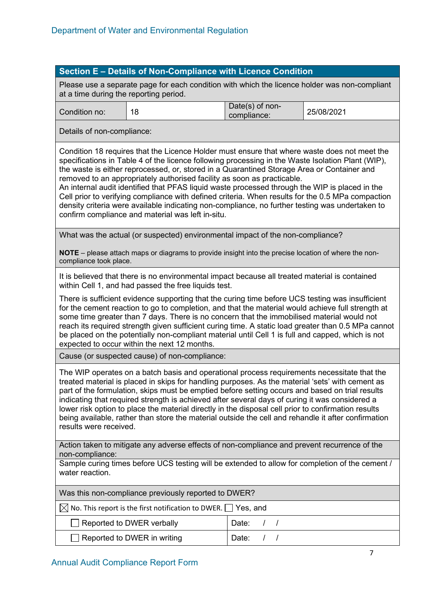### **Section E – Details of Non-Compliance with Licence Condition**

Please use a separate page for each condition with which the licence holder was non-compliant at a time during the reporting period.

| Condition no: | -4.0 | Date(s) of non-<br>compliance: | 25/08/2021 |
|---------------|------|--------------------------------|------------|
|               |      |                                |            |

Details of non-compliance:

Condition 18 requires that the Licence Holder must ensure that where waste does not meet the specifications in Table 4 of the licence following processing in the Waste Isolation Plant (WIP), the waste is either reprocessed, or, stored in a Quarantined Storage Area or Container and removed to an appropriately authorised facility as soon as practicable.

An internal audit identified that PFAS liquid waste processed through the WIP is placed in the Cell prior to verifying compliance with defined criteria. When results for the 0.5 MPa compaction density criteria were available indicating non-compliance, no further testing was undertaken to confirm compliance and material was left in-situ.

What was the actual (or suspected) environmental impact of the non-compliance?

**NOTE** – please attach maps or diagrams to provide insight into the precise location of where the noncompliance took place.

It is believed that there is no environmental impact because all treated material is contained within Cell 1, and had passed the free liquids test.

There is sufficient evidence supporting that the curing time before UCS testing was insufficient for the cement reaction to go to completion, and that the material would achieve full strength at some time greater than 7 days. There is no concern that the immobilised material would not reach its required strength given sufficient curing time. A static load greater than 0.5 MPa cannot be placed on the potentially non-compliant material until Cell 1 is full and capped, which is not expected to occur within the next 12 months.

Cause (or suspected cause) of non-compliance:

The WIP operates on a batch basis and operational process requirements necessitate that the treated material is placed in skips for handling purposes. As the material 'sets' with cement as part of the formulation, skips must be emptied before setting occurs and based on trial results indicating that required strength is achieved after several days of curing it was considered a lower risk option to place the material directly in the disposal cell prior to confirmation results being available, rather than store the material outside the cell and rehandle it after confirmation results were received.

Action taken to mitigate any adverse effects of non-compliance and prevent recurrence of the non-compliance:

Sample curing times before UCS testing will be extended to allow for completion of the cement / water reaction.

Was this non-compliance previously reported to DWER?

 $\boxtimes$  No. This report is the first notification to DWER.  $\Box$  Yes, and

| Reported to DWER verbally          | Date: |
|------------------------------------|-------|
| $\Box$ Reported to DWER in writing | Date: |